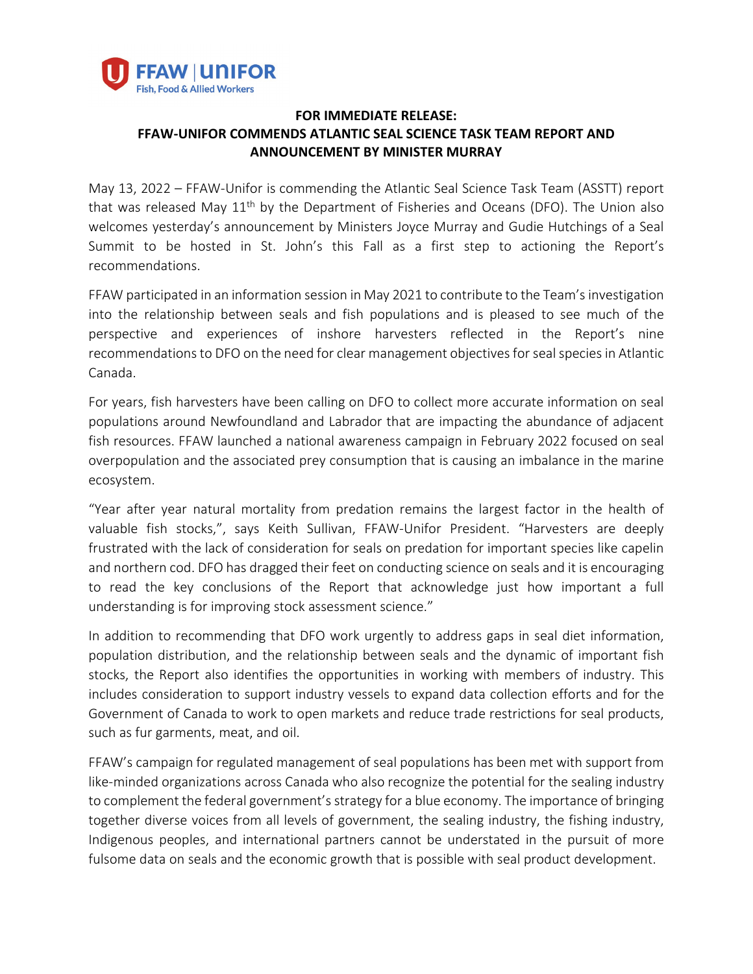

## **FOR IMMEDIATE RELEASE: FFAW-UNIFOR COMMENDS ATLANTIC SEAL SCIENCE TASK TEAM REPORT AND ANNOUNCEMENT BY MINISTER MURRAY**

May 13, 2022 – FFAW-Unifor is commending the Atlantic Seal Science Task Team (ASSTT) report that was released May  $11<sup>th</sup>$  by the Department of Fisheries and Oceans (DFO). The Union also welcomes yesterday's announcement by Ministers Joyce Murray and Gudie Hutchings of a Seal Summit to be hosted in St. John's this Fall as a first step to actioning the Report's recommendations.

FFAW participated in an information session in May 2021 to contribute to the Team's investigation into the relationship between seals and fish populations and is pleased to see much of the perspective and experiences of inshore harvesters reflected in the Report's nine recommendations to DFO on the need for clear management objectives for seal species in Atlantic Canada.

For years, fish harvesters have been calling on DFO to collect more accurate information on seal populations around Newfoundland and Labrador that are impacting the abundance of adjacent fish resources. FFAW launched a national awareness campaign in February 2022 focused on seal overpopulation and the associated prey consumption that is causing an imbalance in the marine ecosystem.

"Year after year natural mortality from predation remains the largest factor in the health of valuable fish stocks,", says Keith Sullivan, FFAW-Unifor President. "Harvesters are deeply frustrated with the lack of consideration for seals on predation for important species like capelin and northern cod. DFO has dragged their feet on conducting science on seals and it is encouraging to read the key conclusions of the Report that acknowledge just how important a full understanding is for improving stock assessment science."

In addition to recommending that DFO work urgently to address gaps in seal diet information, population distribution, and the relationship between seals and the dynamic of important fish stocks, the Report also identifies the opportunities in working with members of industry. This includes consideration to support industry vessels to expand data collection efforts and for the Government of Canada to work to open markets and reduce trade restrictions for seal products, such as fur garments, meat, and oil.

FFAW's campaign for regulated management of seal populations has been met with support from like-minded organizations across Canada who also recognize the potential for the sealing industry to complement the federal government's strategy for a blue economy. The importance of bringing together diverse voices from all levels of government, the sealing industry, the fishing industry, Indigenous peoples, and international partners cannot be understated in the pursuit of more fulsome data on seals and the economic growth that is possible with seal product development.